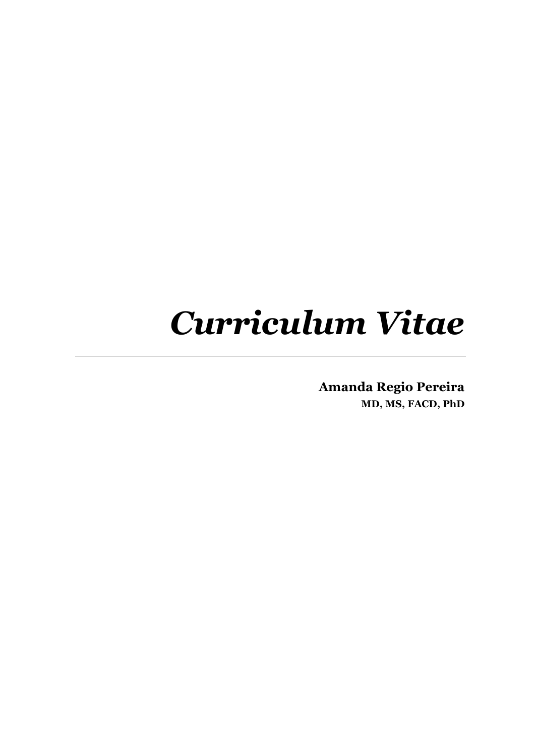# *Curriculum Vitae*

**Amanda Regio Pereira MD, MS, FACD, PhD**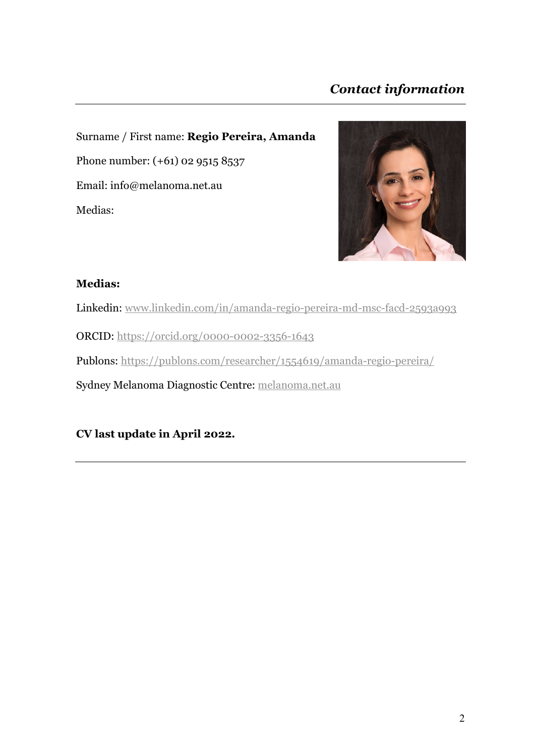# *Contact information*

Surname / First name: **Regio Pereira, Amanda** Phone number: (+61) 02 9515 8537 Email: info@melanoma.net.au Medias:



#### **Medias:**

Linkedin: www.linkedin.com/in/amanda-regio-pereira-md-msc-facd-2593a993

ORCID: https://orcid.org/0000-0002-3356-1643

Publons: https://publons.com/researcher/1554619/amanda-regio-pereira/

Sydney Melanoma Diagnostic Centre: melanoma.net.au

**CV last update in April 2022.**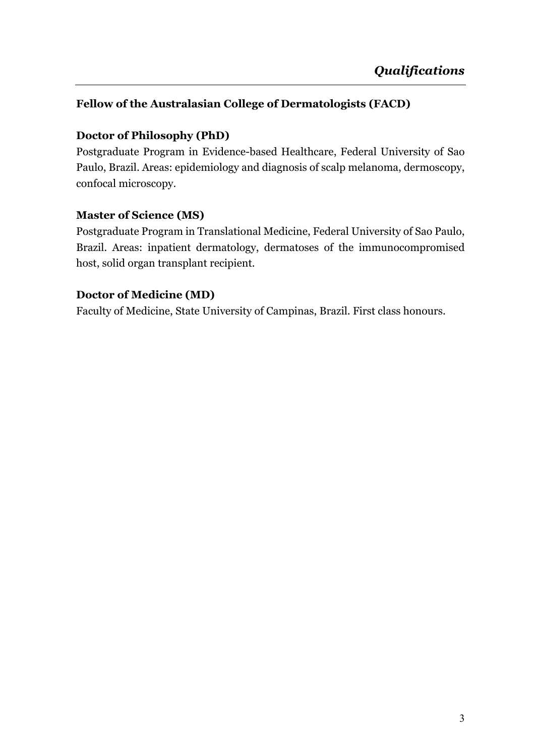#### **Fellow of the Australasian College of Dermatologists (FACD)**

#### **Doctor of Philosophy (PhD)**

Postgraduate Program in Evidence-based Healthcare, Federal University of Sao Paulo, Brazil. Areas: epidemiology and diagnosis of scalp melanoma, dermoscopy, confocal microscopy.

#### **Master of Science (MS)**

Postgraduate Program in Translational Medicine, Federal University of Sao Paulo, Brazil*.* Areas: inpatient dermatology, dermatoses of the immunocompromised host, solid organ transplant recipient.

#### **Doctor of Medicine (MD)**

Faculty of Medicine, State University of Campinas, Brazil. First class honours.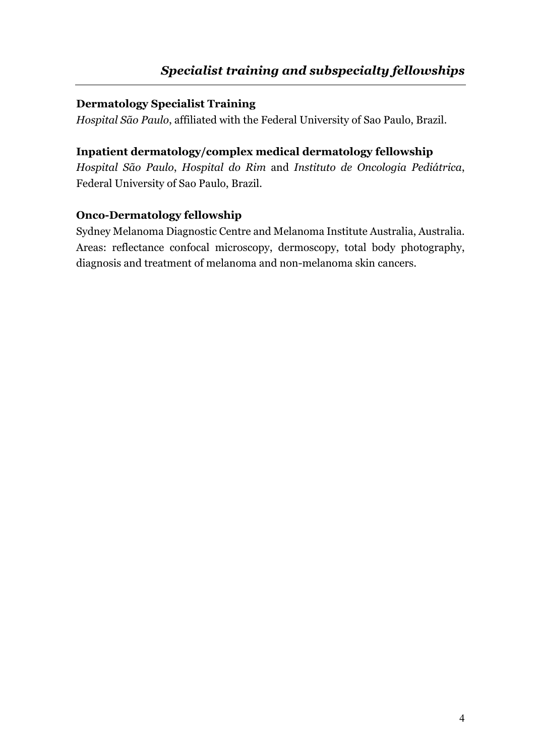#### **Dermatology Specialist Training**

*Hospital São Paulo*, affiliated with the Federal University of Sao Paulo, Brazil.

#### **Inpatient dermatology/complex medical dermatology fellowship**

*Hospital São Paulo*, *Hospital do Rim* and *Instituto de Oncologia Pediátrica*, Federal University of Sao Paulo, Brazil*.* 

#### **Onco-Dermatology fellowship**

Sydney Melanoma Diagnostic Centre and Melanoma Institute Australia, Australia. Areas: reflectance confocal microscopy, dermoscopy, total body photography, diagnosis and treatment of melanoma and non-melanoma skin cancers.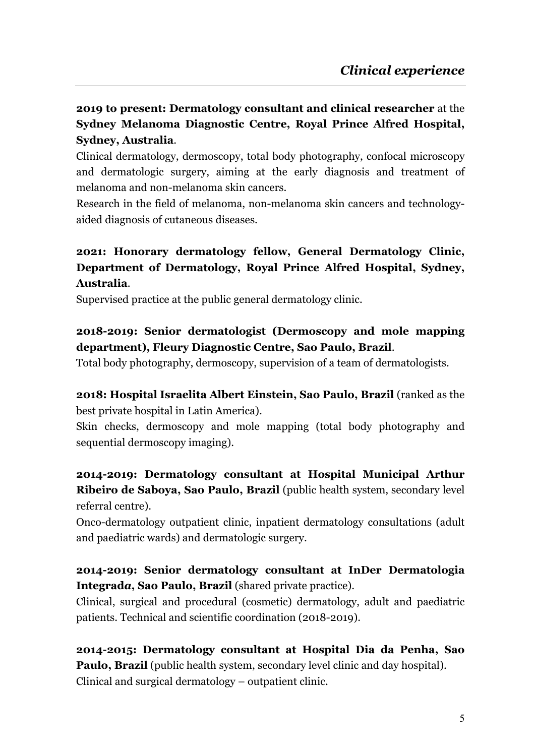**2019 to present: Dermatology consultant and clinical researcher** at the **Sydney Melanoma Diagnostic Centre, Royal Prince Alfred Hospital, Sydney, Australia**.

Clinical dermatology, dermoscopy, total body photography, confocal microscopy and dermatologic surgery, aiming at the early diagnosis and treatment of melanoma and non-melanoma skin cancers.

Research in the field of melanoma, non-melanoma skin cancers and technologyaided diagnosis of cutaneous diseases.

## **2021: Honorary dermatology fellow, General Dermatology Clinic, Department of Dermatology, Royal Prince Alfred Hospital, Sydney, Australia**.

Supervised practice at the public general dermatology clinic.

#### **2018-2019: Senior dermatologist (Dermoscopy and mole mapping department), Fleury Diagnostic Centre, Sao Paulo, Brazil**.

Total body photography, dermoscopy, supervision of a team of dermatologists.

**2018: Hospital Israelita Albert Einstein, Sao Paulo, Brazil** (ranked as the best private hospital in Latin America).

Skin checks, dermoscopy and mole mapping (total body photography and sequential dermoscopy imaging).

## **2014-2019: Dermatology consultant at Hospital Municipal Arthur Ribeiro de Saboya, Sao Paulo, Brazil** (public health system, secondary level referral centre).

Onco-dermatology outpatient clinic, inpatient dermatology consultations (adult and paediatric wards) and dermatologic surgery.

#### **2014-2019: Senior dermatology consultant at InDer Dermatologia Integrad***a***, Sao Paulo, Brazil** (shared private practice).

Clinical, surgical and procedural (cosmetic) dermatology, adult and paediatric patients. Technical and scientific coordination (2018-2019).

**2014-2015: Dermatology consultant at Hospital Dia da Penha, Sao Paulo, Brazil** (public health system, secondary level clinic and day hospital). Clinical and surgical dermatology – outpatient clinic.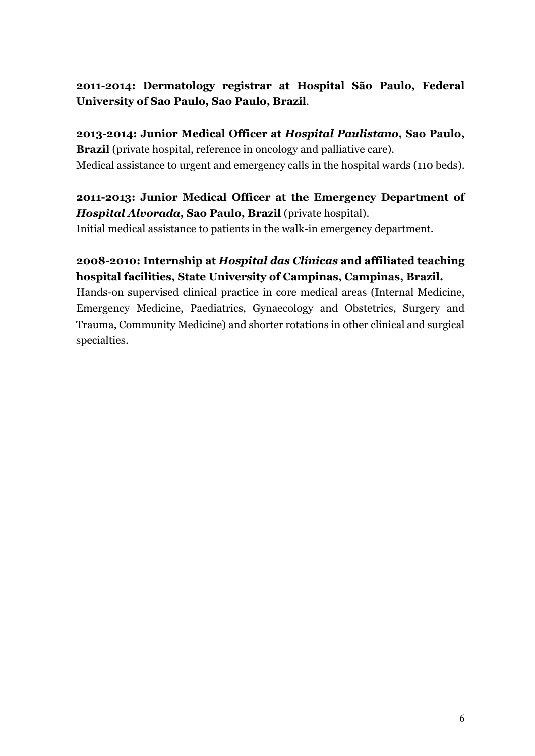#### **2011-2014: Dermatology registrar at Hospital São Paulo, Federal University of Sao Paulo, Sao Paulo, Brazil**.

**2013-2014: Junior Medical Officer at** *Hospital Paulistano***, Sao Paulo, Brazil** (private hospital, reference in oncology and palliative care). Medical assistance to urgent and emergency calls in the hospital wards (110 beds).

## **2011-2013: Junior Medical Officer at the Emergency Department of** *Hospital Alvorada***, Sao Paulo, Brazil** (private hospital).

Initial medical assistance to patients in the walk-in emergency department.

## **2008-2010: Internship at** *Hospital das Clínicas* **and affiliated teaching hospital facilities, State University of Campinas, Campinas, Brazil.**

Hands-on supervised clinical practice in core medical areas (Internal Medicine, Emergency Medicine, Paediatrics, Gynaecology and Obstetrics, Surgery and Trauma, Community Medicine) and shorter rotations in other clinical and surgical specialties.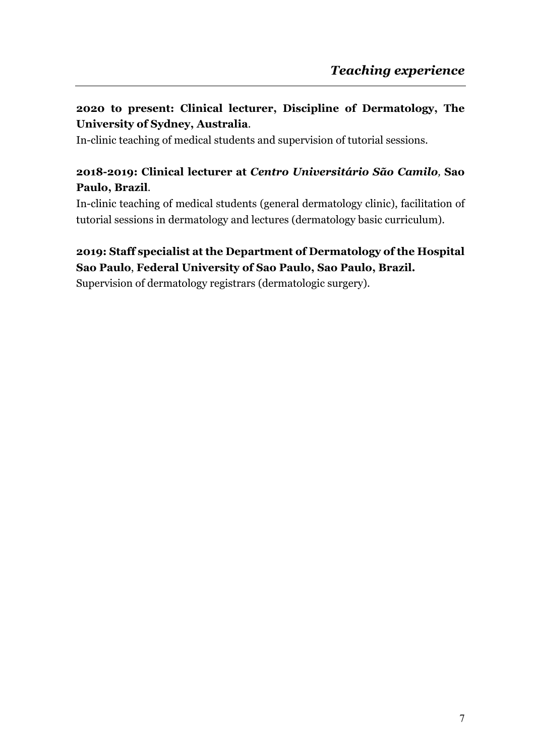# **2020 to present: Clinical lecturer, Discipline of Dermatology, The University of Sydney, Australia**.

In-clinic teaching of medical students and supervision of tutorial sessions.

#### **2018-2019: Clinical lecturer at** *Centro Universitário São Camilo,* **Sao Paulo, Brazil**.

In-clinic teaching of medical students (general dermatology clinic), facilitation of tutorial sessions in dermatology and lectures (dermatology basic curriculum).

#### **2019: Staff specialist at the Department of Dermatology of the Hospital Sao Paulo**, **Federal University of Sao Paulo, Sao Paulo, Brazil.**

Supervision of dermatology registrars (dermatologic surgery).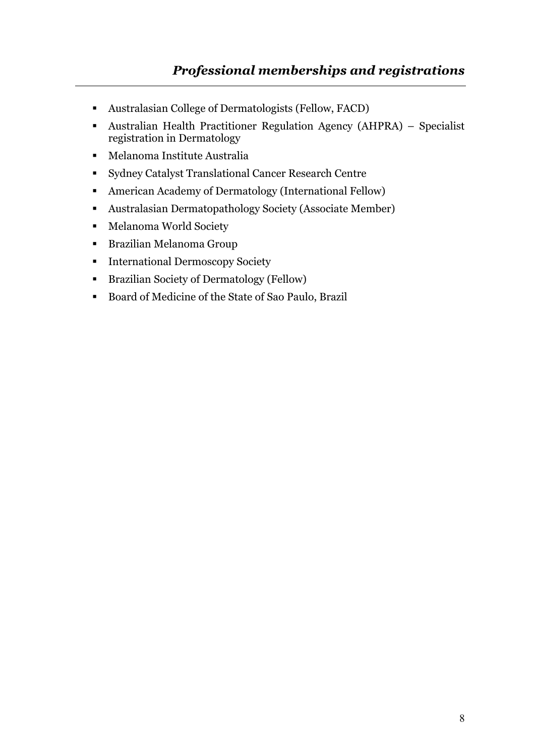- Australasian College of Dermatologists (Fellow, FACD)
- Australian Health Practitioner Regulation Agency (AHPRA) Specialist registration in Dermatology
- § Melanoma Institute Australia
- Sydney Catalyst Translational Cancer Research Centre
- American Academy of Dermatology (International Fellow)
- Australasian Dermatopathology Society (Associate Member)
- § Melanoma World Society
- § Brazilian Melanoma Group
- International Dermoscopy Society
- Brazilian Society of Dermatology (Fellow)
- Board of Medicine of the State of Sao Paulo, Brazil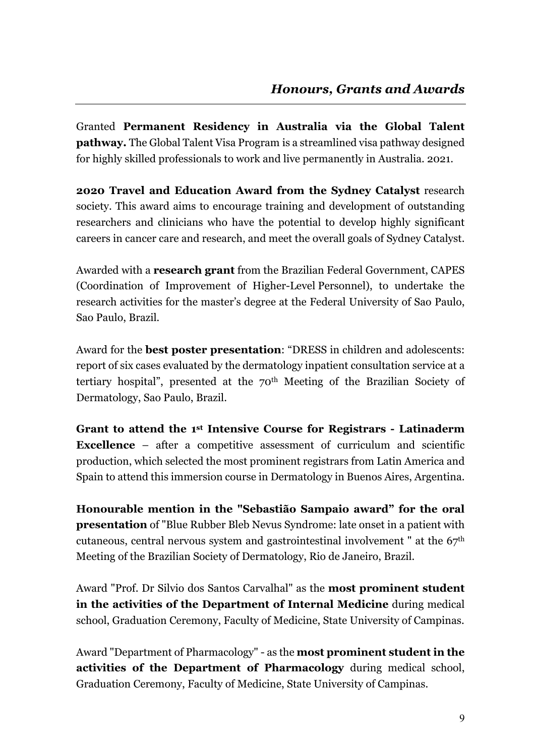Granted **Permanent Residency in Australia via the Global Talent pathway.** The Global Talent Visa Program is a streamlined visa pathway designed for highly skilled professionals to work and live permanently in Australia. 2021.

**2020 Travel and Education Award from the Sydney Catalyst** research society. This award aims to encourage training and development of outstanding researchers and clinicians who have the potential to develop highly significant careers in cancer care and research, and meet the overall goals of Sydney Catalyst.

Awarded with a **research grant** from the Brazilian Federal Government, CAPES (Coordination of Improvement of Higher-Level Personnel), to undertake the research activities for the master's degree at the Federal University of Sao Paulo, Sao Paulo, Brazil*.*

Award for the **best poster presentation**: "DRESS in children and adolescents: report of six cases evaluated by the dermatology inpatient consultation service at a tertiary hospital", presented at the 70th Meeting of the Brazilian Society of Dermatology, Sao Paulo, Brazil.

**Grant to attend the 1st Intensive Course for Registrars - Latinaderm Excellence** – after a competitive assessment of curriculum and scientific production, which selected the most prominent registrars from Latin America and Spain to attend this immersion course in Dermatology in Buenos Aires, Argentina.

**Honourable mention in the "Sebastião Sampaio award" for the oral presentation** of "Blue Rubber Bleb Nevus Syndrome: late onset in a patient with cutaneous, central nervous system and gastrointestinal involvement " at the 67th Meeting of the Brazilian Society of Dermatology, Rio de Janeiro, Brazil.

Award "Prof. Dr Silvio dos Santos Carvalhal" as the **most prominent student in the activities of the Department of Internal Medicine** during medical school, Graduation Ceremony, Faculty of Medicine, State University of Campinas.

Award "Department of Pharmacology" - as the **most prominent student in the activities of the Department of Pharmacology** during medical school, Graduation Ceremony, Faculty of Medicine, State University of Campinas.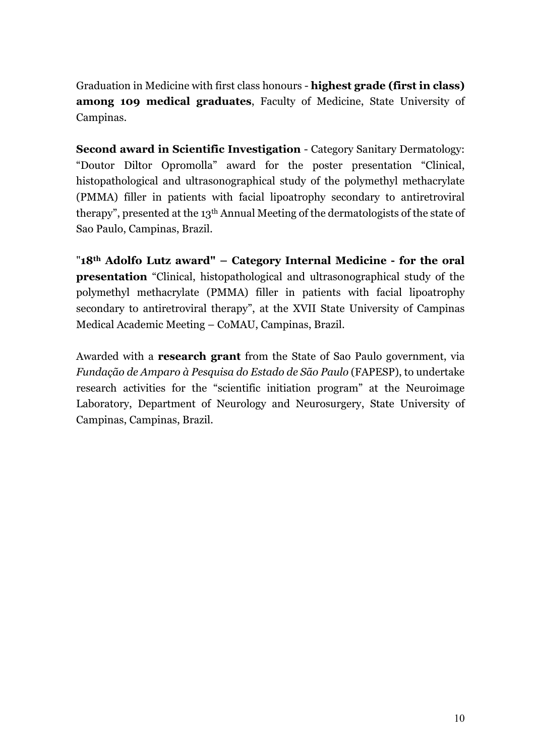Graduation in Medicine with first class honours - **highest grade (first in class) among 109 medical graduates**, Faculty of Medicine, State University of Campinas.

**Second award in Scientific Investigation** - Category Sanitary Dermatology: "Doutor Diltor Opromolla" award for the poster presentation "Clinical, histopathological and ultrasonographical study of the polymethyl methacrylate (PMMA) filler in patients with facial lipoatrophy secondary to antiretroviral therapy", presented at the 13th Annual Meeting of the dermatologists of the state of Sao Paulo, Campinas, Brazil.

"**18th Adolfo Lutz award" – Category Internal Medicine - for the oral presentation** "Clinical, histopathological and ultrasonographical study of the polymethyl methacrylate (PMMA) filler in patients with facial lipoatrophy secondary to antiretroviral therapy", at the XVII State University of Campinas Medical Academic Meeting – CoMAU, Campinas, Brazil.

Awarded with a **research grant** from the State of Sao Paulo government, via *Fundação de Amparo à Pesquisa do Estado de São Paulo* (FAPESP), to undertake research activities for the "scientific initiation program" at the Neuroimage Laboratory, Department of Neurology and Neurosurgery, State University of Campinas, Campinas, Brazil*.*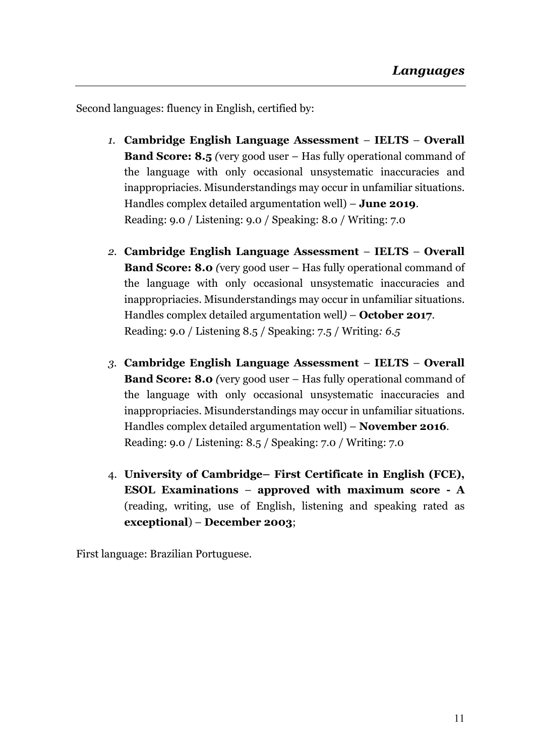Second languages: fluency in English, certified by:

- *1.* **Cambridge English Language Assessment IELTS Overall Band Score: 8.5** *(*very good user – Has fully operational command of the language with only occasional unsystematic inaccuracies and inappropriacies. Misunderstandings may occur in unfamiliar situations. Handles complex detailed argumentation well) – **June 2019**. Reading: 9.0 / Listening: 9.0 / Speaking: 8.0 / Writing: 7.0
- *2.* **Cambridge English Language Assessment IELTS Overall Band Score: 8.0** *(*very good user – Has fully operational command of the language with only occasional unsystematic inaccuracies and inappropriacies. Misunderstandings may occur in unfamiliar situations. Handles complex detailed argumentation well*)* – **October 2017**. Reading: 9.0 / Listening 8.5 / Speaking: 7.5 / Writing*: 6.5*
- *3.* **Cambridge English Language Assessment IELTS Overall Band Score: 8.0** *(*very good user – Has fully operational command of the language with only occasional unsystematic inaccuracies and inappropriacies. Misunderstandings may occur in unfamiliar situations. Handles complex detailed argumentation well) – **November 2016**. Reading: 9.0 / Listening: 8.5 / Speaking: 7.0 / Writing: 7.0
- 4. **University of Cambridge– First Certificate in English (FCE), ESOL Examinations** – **approved with maximum score - A** (reading, writing, use of English, listening and speaking rated as **exceptional**) – **December 2003**;

First language: Brazilian Portuguese.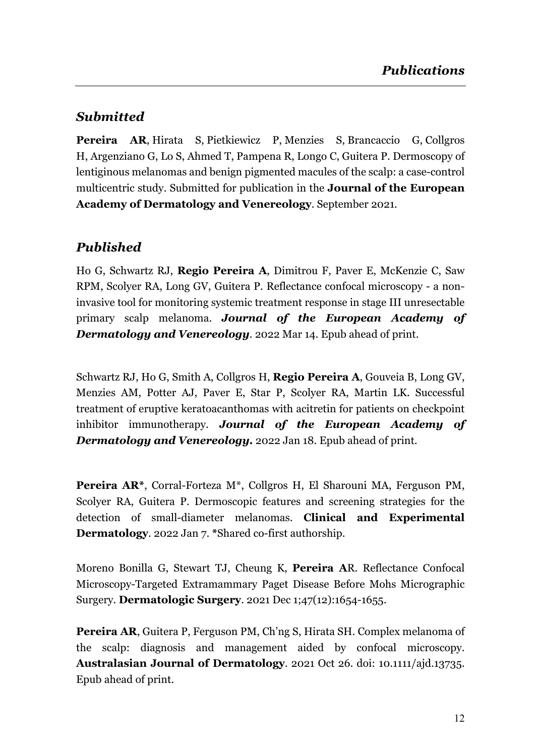# *Submitted*

**Pereira AR**, Hirata S, Pietkiewicz P, Menzies S, Brancaccio G, Collgros H, Argenziano G, Lo S, Ahmed T, Pampena R, Longo C, Guitera P. Dermoscopy of lentiginous melanomas and benign pigmented macules of the scalp: a case-control multicentric study. Submitted for publication in the **Journal of the European Academy of Dermatology and Venereology**. September 2021.

# *Published*

Ho G, Schwartz RJ, **Regio Pereira A**, Dimitrou F, Paver E, McKenzie C, Saw RPM, Scolyer RA, Long GV, Guitera P. Reflectance confocal microscopy - a noninvasive tool for monitoring systemic treatment response in stage III unresectable primary scalp melanoma. *Journal of the European Academy of Dermatology and Venereology*. 2022 Mar 14. Epub ahead of print.

Schwartz RJ, Ho G, Smith A, Collgros H, **Regio Pereira A**, Gouveia B, Long GV, Menzies AM, Potter AJ, Paver E, Star P, Scolyer RA, Martin LK. Successful treatment of eruptive keratoacanthomas with acitretin for patients on checkpoint inhibitor immunotherapy. *Journal of the European Academy of Dermatology and Venereology.* 2022 Jan 18. Epub ahead of print.

**Pereira AR\***, Corral-Forteza M\*, Collgros H, El Sharouni MA, Ferguson PM, Scolyer RA, Guitera P. Dermoscopic features and screening strategies for the detection of small-diameter melanomas. **Clinical and Experimental Dermatology**. 2022 Jan 7. **\***Shared co-first authorship.

Moreno Bonilla G, Stewart TJ, Cheung K, **Pereira A**R. Reflectance Confocal Microscopy-Targeted Extramammary Paget Disease Before Mohs Micrographic Surgery. **Dermatologic Surgery**. 2021 Dec 1;47(12):1654-1655.

**Pereira AR**, Guitera P, Ferguson PM, Ch'ng S, Hirata SH. Complex melanoma of the scalp: diagnosis and management aided by confocal microscopy. **Australasian Journal of Dermatology**. 2021 Oct 26. doi: 10.1111/ajd.13735. Epub ahead of print.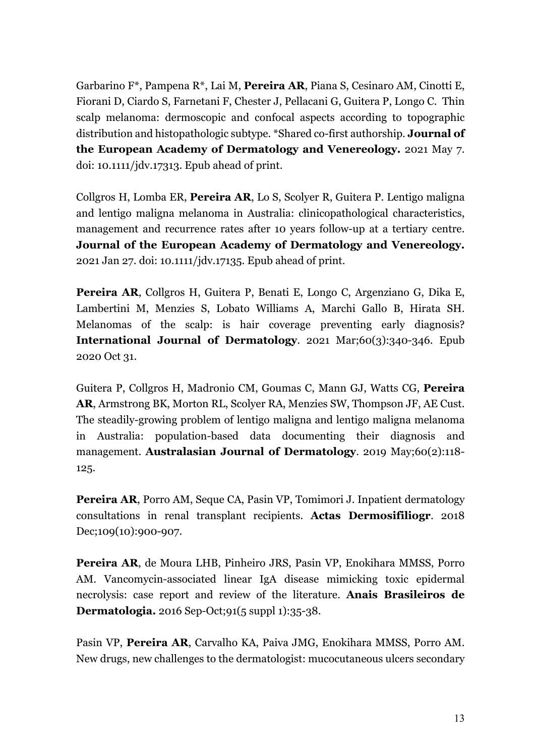Garbarino F\*, Pampena R\*, Lai M, **Pereira AR**, Piana S, Cesinaro AM, Cinotti E, Fiorani D, Ciardo S, Farnetani F, Chester J, Pellacani G, Guitera P, Longo C. Thin scalp melanoma: dermoscopic and confocal aspects according to topographic distribution and histopathologic subtype. \*Shared co-first authorship. **Journal of the European Academy of Dermatology and Venereology.** 2021 May 7. doi: 10.1111/jdv.17313. Epub ahead of print.

Collgros H, Lomba ER, **Pereira AR**, Lo S, Scolyer R, Guitera P. Lentigo maligna and lentigo maligna melanoma in Australia: clinicopathological characteristics, management and recurrence rates after 10 years follow-up at a tertiary centre. **Journal of the European Academy of Dermatology and Venereology.** 2021 Jan 27. doi: 10.1111/jdv.17135. Epub ahead of print.

**Pereira AR**, Collgros H, Guitera P, Benati E, Longo C, Argenziano G, Dika E, Lambertini M, Menzies S, Lobato Williams A, Marchi Gallo B, Hirata SH. Melanomas of the scalp: is hair coverage preventing early diagnosis? **International Journal of Dermatology**. 2021 Mar;60(3):340-346. Epub 2020 Oct 31.

Guitera P, Collgros H, Madronio CM, Goumas C, Mann GJ, Watts CG, **Pereira AR**, Armstrong BK, Morton RL, Scolyer RA, Menzies SW, Thompson JF, AE Cust. The steadily-growing problem of lentigo maligna and lentigo maligna melanoma in Australia: population-based data documenting their diagnosis and management. **Australasian Journal of Dermatology**. 2019 May;60(2):118- 125.

**Pereira AR**, Porro AM, Seque CA, Pasin VP, Tomimori J. Inpatient dermatology consultations in renal transplant recipients. **Actas Dermosifiliogr**. 2018 Dec;109(10):900-907.

**Pereira AR**, de Moura LHB, Pinheiro JRS, Pasin VP, Enokihara MMSS, Porro AM. Vancomycin-associated linear IgA disease mimicking toxic epidermal necrolysis: case report and review of the literature. **Anais Brasileiros de Dermatologia.** 2016 Sep-Oct;91(5 suppl 1):35-38.

Pasin VP, **Pereira AR**, Carvalho KA, Paiva JMG, Enokihara MMSS, Porro AM. New drugs, new challenges to the dermatologist: mucocutaneous ulcers secondary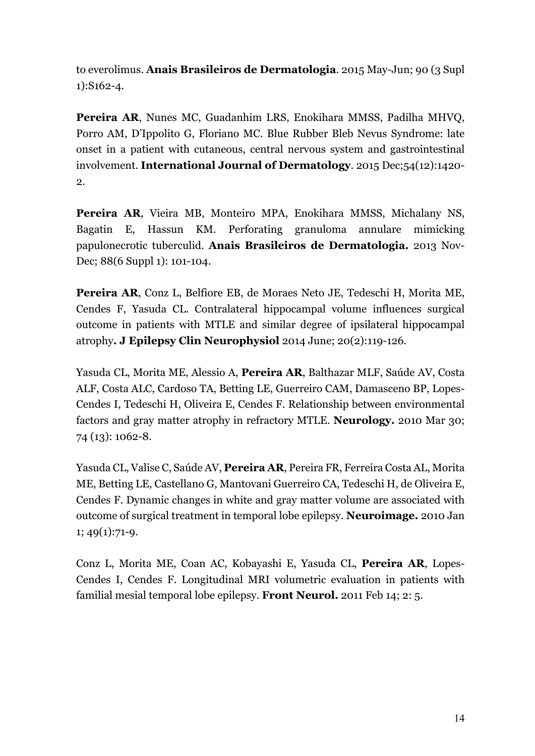to everolimus. **Anais Brasileiros de Dermatologia**. 2015 May-Jun; 90 (3 Supl 1):S162-4.

**Pereira AR**, Nunes MC, Guadanhim LRS, Enokihara MMSS, Padilha MHVQ, Porro AM, D'Ippolito G, Floriano MC. Blue Rubber Bleb Nevus Syndrome: late onset in a patient with cutaneous, central nervous system and gastrointestinal involvement. **International Journal of Dermatology**. 2015 Dec;54(12):1420- 2.

**Pereira AR**, Vieira MB, Monteiro MPA, Enokihara MMSS, Michalany NS, Bagatin E, Hassun KM. Perforating granuloma annulare mimicking papulonecrotic tuberculid. **Anais Brasileiros de Dermatologia.** 2013 Nov-Dec; 88(6 Suppl 1): 101-104.

**Pereira AR**, Conz L, Belfiore EB, de Moraes Neto JE, Tedeschi H, Morita ME, Cendes F, Yasuda CL. Contralateral hippocampal volume influences surgical outcome in patients with MTLE and similar degree of ipsilateral hippocampal atrophy**. J Epilepsy Clin Neurophysiol** 2014 June; 20(2):119-126.

Yasuda CL, Morita ME, Alessio A, **Pereira AR**, Balthazar MLF, Saúde AV, Costa ALF, Costa ALC, Cardoso TA, Betting LE, Guerreiro CAM, Damasceno BP, Lopes-Cendes I, Tedeschi H, Oliveira E, Cendes F. Relationship between environmental factors and gray matter atrophy in refractory MTLE. **Neurology.** 2010 Mar 30; 74 (13): 1062-8.

Yasuda CL, Valise C, Saúde AV, **Pereira AR**, Pereira FR, Ferreira Costa AL, Morita ME, Betting LE, Castellano G, Mantovani Guerreiro CA, Tedeschi H, de Oliveira E, Cendes F. Dynamic changes in white and gray matter volume are associated with outcome of surgical treatment in temporal lobe epilepsy. **Neuroimage.** 2010 Jan 1; 49(1):71-9.

Conz L, Morita ME, Coan AC, Kobayashi E, Yasuda CL, **Pereira AR**, Lopes-Cendes I, Cendes F. Longitudinal MRI volumetric evaluation in patients with familial mesial temporal lobe epilepsy. **Front Neurol.** 2011 Feb 14; 2: 5.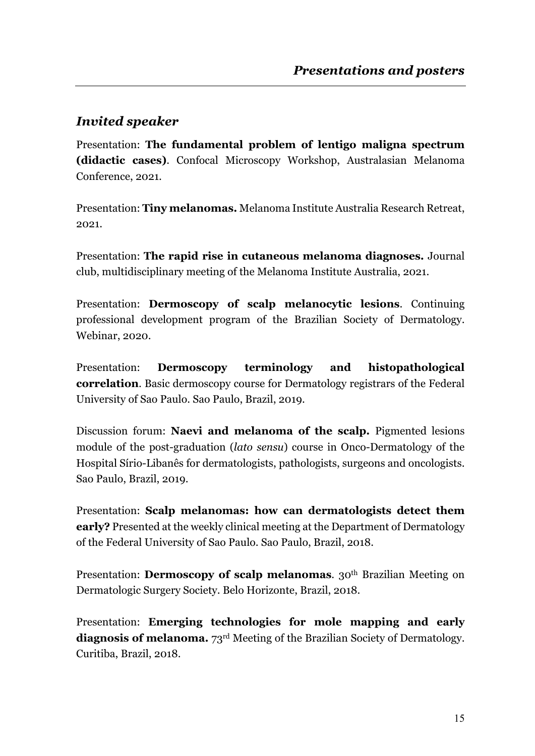# *Invited speaker*

Presentation: **The fundamental problem of lentigo maligna spectrum (didactic cases)**. Confocal Microscopy Workshop, Australasian Melanoma Conference, 2021.

Presentation: **Tiny melanomas.** Melanoma Institute Australia Research Retreat, 2021.

Presentation: **The rapid rise in cutaneous melanoma diagnoses.** Journal club, multidisciplinary meeting of the Melanoma Institute Australia, 2021.

Presentation: **Dermoscopy of scalp melanocytic lesions**. Continuing professional development program of the Brazilian Society of Dermatology. Webinar, 2020.

Presentation: **Dermoscopy terminology and histopathological correlation**. Basic dermoscopy course for Dermatology registrars of the Federal University of Sao Paulo. Sao Paulo, Brazil, 2019.

Discussion forum: **Naevi and melanoma of the scalp.** Pigmented lesions module of the post-graduation (*lato sensu*) course in Onco-Dermatology of the Hospital Sírio-Libanês for dermatologists, pathologists, surgeons and oncologists. Sao Paulo, Brazil, 2019.

Presentation: **Scalp melanomas: how can dermatologists detect them early?** Presented at the weekly clinical meeting at the Department of Dermatology of the Federal University of Sao Paulo. Sao Paulo, Brazil, 2018.

Presentation: **Dermoscopy of scalp melanomas**. 30<sup>th</sup> Brazilian Meeting on Dermatologic Surgery Society. Belo Horizonte, Brazil, 2018.

Presentation: **Emerging technologies for mole mapping and early diagnosis of melanoma.** 73rd Meeting of the Brazilian Society of Dermatology. Curitiba, Brazil, 2018.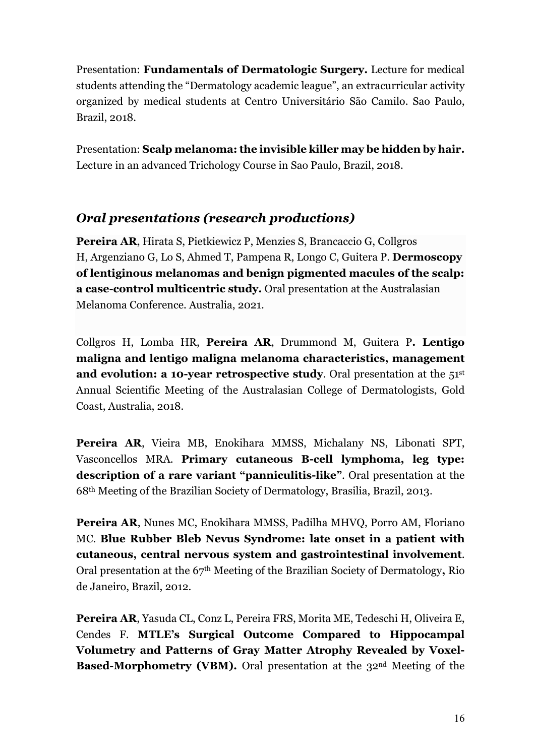Presentation: **Fundamentals of Dermatologic Surgery.** Lecture for medical students attending the "Dermatology academic league", an extracurricular activity organized by medical students at Centro Universitário São Camilo. Sao Paulo, Brazil, 2018.

Presentation: **Scalp melanoma: the invisible killer may be hidden by hair.**  Lecture in an advanced Trichology Course in Sao Paulo, Brazil, 2018.

#### *Oral presentations (research productions)*

**Pereira AR**, Hirata S, Pietkiewicz P, Menzies S, Brancaccio G, Collgros H, Argenziano G, Lo S, Ahmed T, Pampena R, Longo C, Guitera P. **Dermoscopy of lentiginous melanomas and benign pigmented macules of the scalp: a case-control multicentric study.** Oral presentation at the Australasian Melanoma Conference. Australia, 2021.

Collgros H, Lomba HR, **Pereira AR**, Drummond M, Guitera P**. Lentigo maligna and lentigo maligna melanoma characteristics, management and evolution: a 10-year retrospective study.** Oral presentation at the 51<sup>st</sup> Annual Scientific Meeting of the Australasian College of Dermatologists, Gold Coast, Australia, 2018.

**Pereira AR**, Vieira MB, Enokihara MMSS, Michalany NS, Libonati SPT, Vasconcellos MRA. **Primary cutaneous B-cell lymphoma, leg type: description of a rare variant "panniculitis-like"**. Oral presentation at the 68th Meeting of the Brazilian Society of Dermatology, Brasilia, Brazil, 2013.

**Pereira AR**, Nunes MC, Enokihara MMSS, Padilha MHVQ, Porro AM, Floriano MC. **Blue Rubber Bleb Nevus Syndrome: late onset in a patient with cutaneous, central nervous system and gastrointestinal involvement**. Oral presentation at the 67th Meeting of the Brazilian Society of Dermatology**,** Rio de Janeiro, Brazil, 2012.

**Pereira AR**, Yasuda CL, Conz L, Pereira FRS, Morita ME, Tedeschi H, Oliveira E, Cendes F. **MTLE's Surgical Outcome Compared to Hippocampal Volumetry and Patterns of Gray Matter Atrophy Revealed by Voxel-Based-Morphometry (VBM).** Oral presentation at the 32<sup>nd</sup> Meeting of the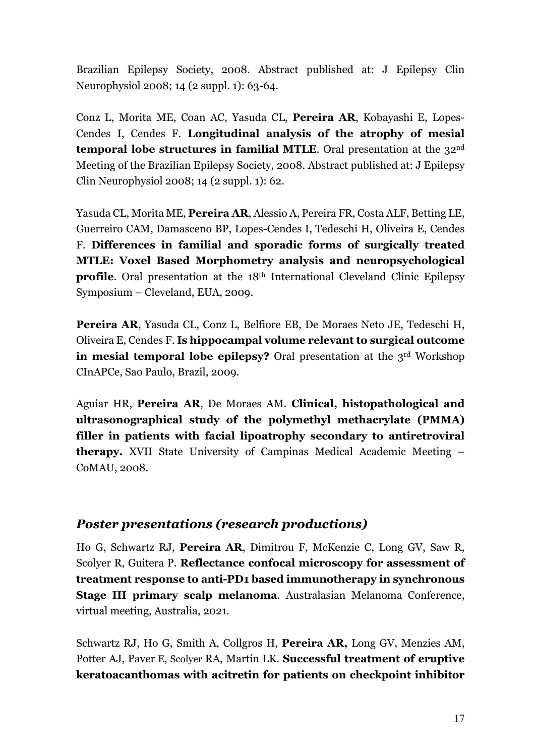Brazilian Epilepsy Society, 2008. Abstract published at: J Epilepsy Clin Neurophysiol 2008; 14 (2 suppl. 1): 63-64.

Conz L, Morita ME, Coan AC, Yasuda CL, **Pereira AR**, Kobayashi E, Lopes-Cendes I, Cendes F. **Longitudinal analysis of the atrophy of mesial temporal lobe structures in familial MTLE**. Oral presentation at the 32<sup>nd</sup> Meeting of the Brazilian Epilepsy Society, 2008. Abstract published at: J Epilepsy Clin Neurophysiol 2008; 14 (2 suppl. 1): 62.

Yasuda CL, Morita ME, **Pereira AR**, Alessio A, Pereira FR, Costa ALF, Betting LE, Guerreiro CAM, Damasceno BP, Lopes-Cendes I, Tedeschi H, Oliveira E, Cendes F. **Differences in familial and sporadic forms of surgically treated MTLE: Voxel Based Morphometry analysis and neuropsychological profile**. Oral presentation at the 18<sup>th</sup> International Cleveland Clinic Epilepsy Symposium – Cleveland, EUA, 2009.

**Pereira AR**, Yasuda CL, Conz L, Belfiore EB, De Moraes Neto JE, Tedeschi H, Oliveira E, Cendes F. **Is hippocampal volume relevant to surgical outcome in mesial temporal lobe epilepsy?** Oral presentation at the 3<sup>rd</sup> Workshop CInAPCe, Sao Paulo, Brazil, 2009.

Aguiar HR, **Pereira AR**, De Moraes AM. **Clinical, histopathological and ultrasonographical study of the polymethyl methacrylate (PMMA) filler in patients with facial lipoatrophy secondary to antiretroviral therapy.** XVII State University of Campinas Medical Academic Meeting – CoMAU, 2008.

#### *Poster presentations (research productions)*

Ho G, Schwartz RJ, **Pereira AR**, Dimitrou F, McKenzie C, Long GV, Saw R, Scolyer R, Guitera P. **Reflectance confocal microscopy for assessment of treatment response to anti-PD1 based immunotherapy in synchronous Stage III primary scalp melanoma**. Australasian Melanoma Conference, virtual meeting, Australia, 2021.

Schwartz RJ, Ho G, Smith A, Collgros H, **Pereira AR,** Long GV, Menzies AM, Potter AJ, Paver E, Scolyer RA, Martin LK. **Successful treatment of eruptive keratoacanthomas with acitretin for patients on checkpoint inhibitor**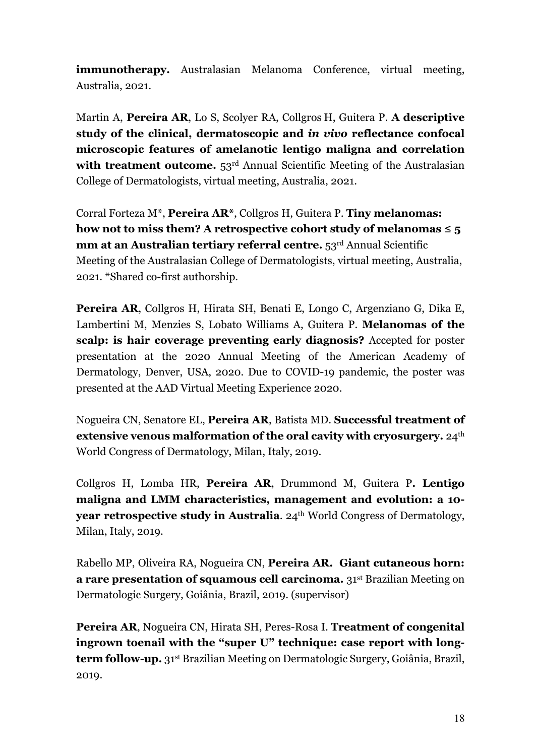**immunotherapy.** Australasian Melanoma Conference, virtual meeting, Australia, 2021.

Martin A, **Pereira AR**, Lo S, Scolyer RA, Collgros H, Guitera P. **A descriptive study of the clinical, dermatoscopic and** *in vivo* **reflectance confocal microscopic features of amelanotic lentigo maligna and correlation**  with treatment outcome. 53<sup>rd</sup> Annual Scientific Meeting of the Australasian College of Dermatologists, virtual meeting, Australia, 2021.

Corral Forteza M\*, **Pereira AR\***, Collgros H, Guitera P. **Tiny melanomas: how not to miss them? A retrospective cohort study of melanomas ≤ 5 mm at an Australian tertiary referral centre.** 53<sup>rd</sup> Annual Scientific Meeting of the Australasian College of Dermatologists, virtual meeting, Australia, 2021. \*Shared co-first authorship.

**Pereira AR**, Collgros H, Hirata SH, Benati E, Longo C, Argenziano G, Dika E, Lambertini M, Menzies S, Lobato Williams A, Guitera P. **Melanomas of the scalp: is hair coverage preventing early diagnosis?** Accepted for poster presentation at the 2020 Annual Meeting of the American Academy of Dermatology, Denver, USA, 2020. Due to COVID-19 pandemic, the poster was presented at the AAD Virtual Meeting Experience 2020.

Nogueira CN, Senatore EL, **Pereira AR**, Batista MD. **Successful treatment of extensive venous malformation of the oral cavity with cryosurgery.** 24th World Congress of Dermatology, Milan, Italy, 2019.

Collgros H, Lomba HR, **Pereira AR**, Drummond M, Guitera P**. Lentigo maligna and LMM characteristics, management and evolution: a 10 year retrospective study in Australia.** 24<sup>th</sup> World Congress of Dermatology, Milan, Italy, 2019.

Rabello MP, Oliveira RA, Nogueira CN, **Pereira AR. Giant cutaneous horn: a rare presentation of squamous cell carcinoma.** 31st Brazilian Meeting on Dermatologic Surgery, Goiânia, Brazil, 2019. (supervisor)

**Pereira AR**, Nogueira CN, Hirata SH, Peres-Rosa I. **Treatment of congenital ingrown toenail with the "super U" technique: case report with longterm follow-up.** 31st Brazilian Meeting on Dermatologic Surgery, Goiânia, Brazil, 2019.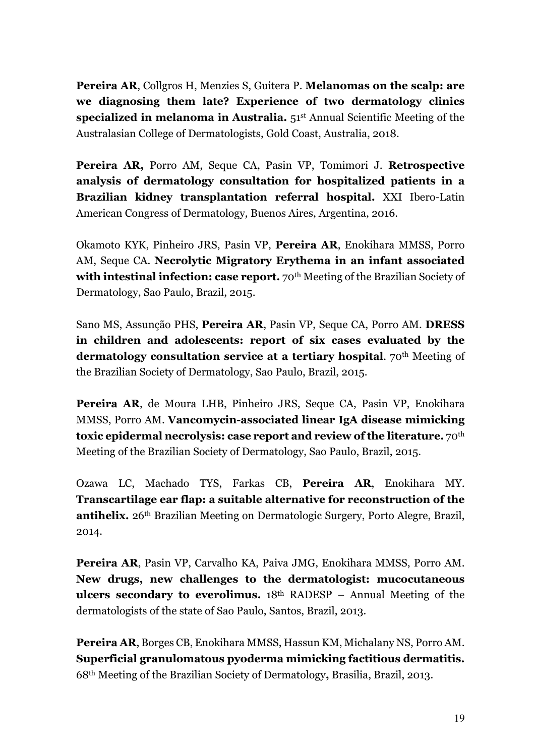**Pereira AR**, Collgros H, Menzies S, Guitera P. **Melanomas on the scalp: are we diagnosing them late? Experience of two dermatology clinics specialized in melanoma in Australia.** 51st Annual Scientific Meeting of the Australasian College of Dermatologists, Gold Coast, Australia, 2018.

**Pereira AR,** Porro AM, Seque CA, Pasin VP, Tomimori J. **Retrospective analysis of dermatology consultation for hospitalized patients in a Brazilian kidney transplantation referral hospital.** XXI Ibero-Latin American Congress of Dermatology*,* Buenos Aires, Argentina, 2016.

Okamoto KYK, Pinheiro JRS, Pasin VP, **Pereira AR**, Enokihara MMSS, Porro AM, Seque CA. **Necrolytic Migratory Erythema in an infant associated**  with intestinal infection: case report. 70<sup>th</sup> Meeting of the Brazilian Society of Dermatology, Sao Paulo, Brazil, 2015.

Sano MS, Assunção PHS, **Pereira AR**, Pasin VP, Seque CA, Porro AM. **DRESS in children and adolescents: report of six cases evaluated by the dermatology consultation service at a tertiary hospital.** 70<sup>th</sup> Meeting of the Brazilian Society of Dermatology, Sao Paulo, Brazil, 2015.

**Pereira AR**, de Moura LHB, Pinheiro JRS, Seque CA, Pasin VP, Enokihara MMSS, Porro AM. **Vancomycin-associated linear IgA disease mimicking toxic epidermal necrolysis: case report and review of the literature.** 70th Meeting of the Brazilian Society of Dermatology, Sao Paulo, Brazil, 2015.

Ozawa LC, Machado TYS, Farkas CB, **Pereira AR**, Enokihara MY. **Transcartilage ear flap: a suitable alternative for reconstruction of the antihelix.** 26th Brazilian Meeting on Dermatologic Surgery, Porto Alegre, Brazil, 2014.

**Pereira AR**, Pasin VP, Carvalho KA, Paiva JMG, Enokihara MMSS, Porro AM. **New drugs, new challenges to the dermatologist: mucocutaneous ulcers secondary to everolimus.** 18th RADESP – Annual Meeting of the dermatologists of the state of Sao Paulo, Santos, Brazil, 2013.

**Pereira AR**, Borges CB, Enokihara MMSS, Hassun KM, Michalany NS, Porro AM. **Superficial granulomatous pyoderma mimicking factitious dermatitis.** 68th Meeting of the Brazilian Society of Dermatology**,** Brasilia, Brazil, 2013.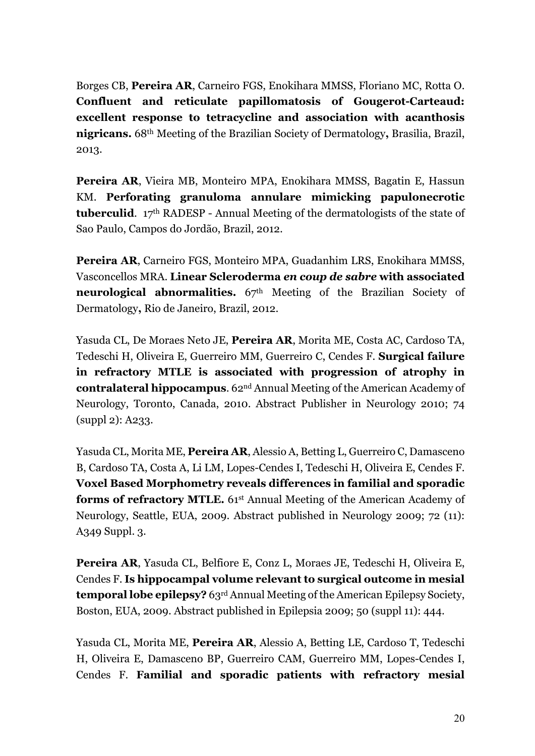Borges CB, **Pereira AR**, Carneiro FGS, Enokihara MMSS, Floriano MC, Rotta O. **Confluent and reticulate papillomatosis of Gougerot-Carteaud: excellent response to tetracycline and association with acanthosis nigricans.** 68th Meeting of the Brazilian Society of Dermatology**,** Brasilia, Brazil, 2013.

**Pereira AR**, Vieira MB, Monteiro MPA, Enokihara MMSS, Bagatin E, Hassun KM. **Perforating granuloma annulare mimicking papulonecrotic tuberculid**. 17th RADESP - Annual Meeting of the dermatologists of the state of Sao Paulo, Campos do Jordão, Brazil, 2012.

**Pereira AR**, Carneiro FGS, Monteiro MPA, Guadanhim LRS, Enokihara MMSS, Vasconcellos MRA. **Linear Scleroderma** *en coup de sabre* **with associated neurological abnormalities.** 67<sup>th</sup> Meeting of the Brazilian Society of Dermatology**,** Rio de Janeiro, Brazil, 2012.

Yasuda CL, De Moraes Neto JE, **Pereira AR**, Morita ME, Costa AC, Cardoso TA, Tedeschi H, Oliveira E, Guerreiro MM, Guerreiro C, Cendes F. **Surgical failure in refractory MTLE is associated with progression of atrophy in contralateral hippocampus**. 62nd Annual Meeting of the American Academy of Neurology, Toronto, Canada, 2010. Abstract Publisher in Neurology 2010; 74 (suppl 2): A233.

Yasuda CL, Morita ME, **Pereira AR**, Alessio A, Betting L, Guerreiro C, Damasceno B, Cardoso TA, Costa A, Li LM, Lopes-Cendes I, Tedeschi H, Oliveira E, Cendes F. **Voxel Based Morphometry reveals differences in familial and sporadic forms of refractory MTLE.** 61<sup>st</sup> Annual Meeting of the American Academy of Neurology, Seattle, EUA, 2009. Abstract published in Neurology 2009; 72 (11): A349 Suppl. 3.

**Pereira AR**, Yasuda CL, Belfiore E, Conz L, Moraes JE, Tedeschi H, Oliveira E, Cendes F. **Is hippocampal volume relevant to surgical outcome in mesial temporal lobe epilepsy?** 63rd Annual Meeting of the American Epilepsy Society, Boston, EUA, 2009. Abstract published in Epilepsia 2009; 50 (suppl 11): 444.

Yasuda CL, Morita ME, **Pereira AR**, Alessio A, Betting LE, Cardoso T, Tedeschi H, Oliveira E, Damasceno BP, Guerreiro CAM, Guerreiro MM, Lopes-Cendes I, Cendes F. **Familial and sporadic patients with refractory mesial**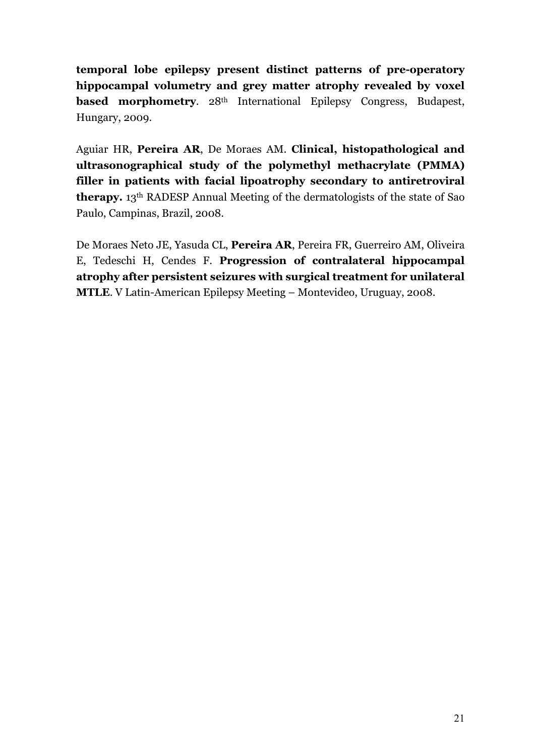**temporal lobe epilepsy present distinct patterns of pre-operatory hippocampal volumetry and grey matter atrophy revealed by voxel based morphometry.** 28<sup>th</sup> International Epilepsy Congress, Budapest, Hungary, 2009.

Aguiar HR, **Pereira AR**, De Moraes AM. **Clinical, histopathological and ultrasonographical study of the polymethyl methacrylate (PMMA) filler in patients with facial lipoatrophy secondary to antiretroviral therapy.** 13th RADESP Annual Meeting of the dermatologists of the state of Sao Paulo, Campinas, Brazil, 2008.

De Moraes Neto JE, Yasuda CL, **Pereira AR**, Pereira FR, Guerreiro AM, Oliveira E, Tedeschi H, Cendes F. **Progression of contralateral hippocampal atrophy after persistent seizures with surgical treatment for unilateral MTLE**. V Latin-American Epilepsy Meeting – Montevideo, Uruguay, 2008.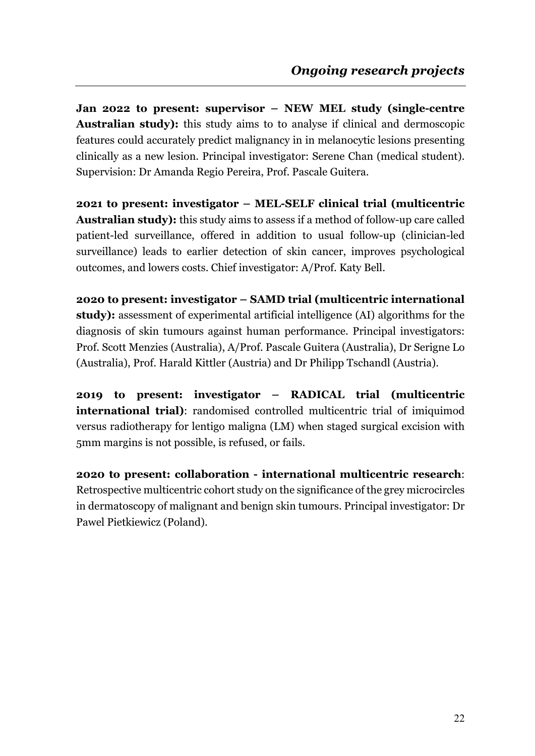**Jan 2022 to present: supervisor – NEW MEL study (single-centre Australian study):** this study aims to to analyse if clinical and dermoscopic features could accurately predict malignancy in in melanocytic lesions presenting clinically as a new lesion. Principal investigator: Serene Chan (medical student). Supervision: Dr Amanda Regio Pereira, Prof. Pascale Guitera.

**2021 to present: investigator – MEL-SELF clinical trial (multicentric Australian study):** this study aims to assess if a method of follow-up care called patient-led surveillance, offered in addition to usual follow-up (clinician-led surveillance) leads to earlier detection of skin cancer, improves psychological outcomes, and lowers costs. Chief investigator: A/Prof. Katy Bell.

**2020 to present: investigator – SAMD trial (multicentric international study):** assessment of experimental artificial intelligence (AI) algorithms for the diagnosis of skin tumours against human performance. Principal investigators: Prof. Scott Menzies (Australia), A/Prof. Pascale Guitera (Australia), Dr Serigne Lo (Australia), Prof. Harald Kittler (Austria) and Dr Philipp Tschandl (Austria).

**2019 to present: investigator – RADICAL trial (multicentric international trial**): randomised controlled multicentric trial of imiquimod versus radiotherapy for lentigo maligna (LM) when staged surgical excision with 5mm margins is not possible, is refused, or fails.

**2020 to present: collaboration - international multicentric research**: Retrospective multicentric cohort study on the significance of the grey microcircles in dermatoscopy of malignant and benign skin tumours. Principal investigator: Dr Pawel Pietkiewicz (Poland).